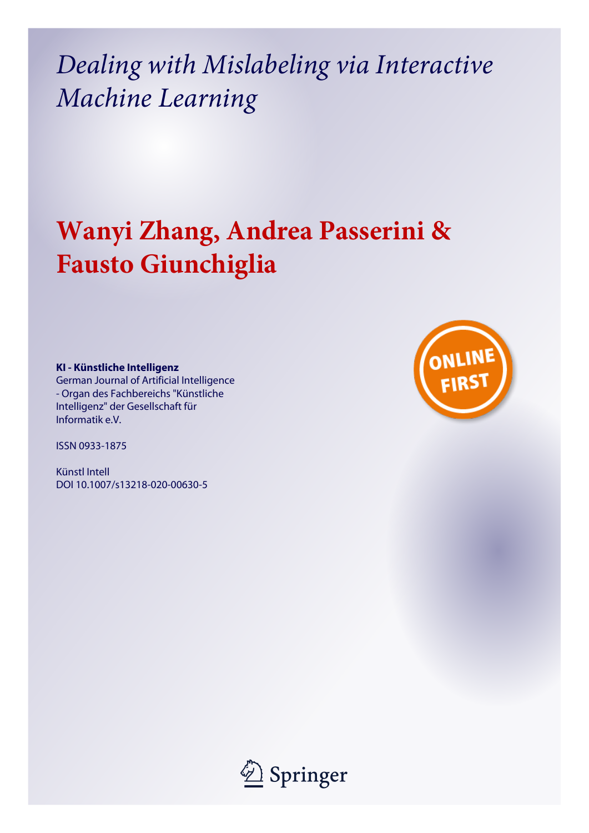*Dealing with Mislabeling via Interactive Machine Learning*

# **Wanyi Zhang, Andrea Passerini & Fausto Giunchiglia**

**KI - Künstliche Intelligenz**

German Journal of Artificial Intelligence - Organ des Fachbereichs "Künstliche Intelligenz" der Gesellschaft für Informatik e.V.

ISSN 0933-1875

Künstl Intell DOI 10.1007/s13218-020-00630-5



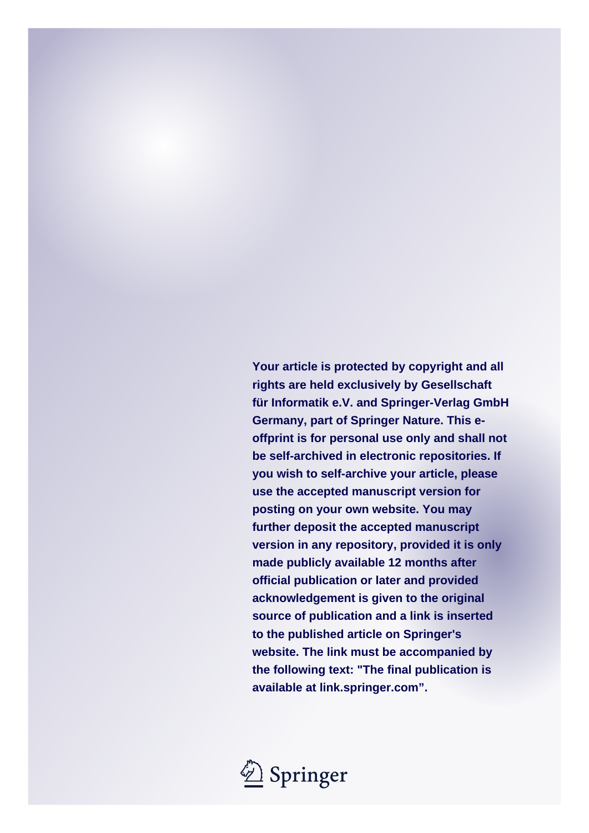**Your article is protected by copyright and all rights are held exclusively by Gesellschaft für Informatik e.V. and Springer-Verlag GmbH Germany, part of Springer Nature. This eoffprint is for personal use only and shall not be self-archived in electronic repositories. If you wish to self-archive your article, please use the accepted manuscript version for posting on your own website. You may further deposit the accepted manuscript version in any repository, provided it is only made publicly available 12 months after official publication or later and provided acknowledgement is given to the original source of publication and a link is inserted to the published article on Springer's website. The link must be accompanied by the following text: "The final publication is available at link.springer.com".**

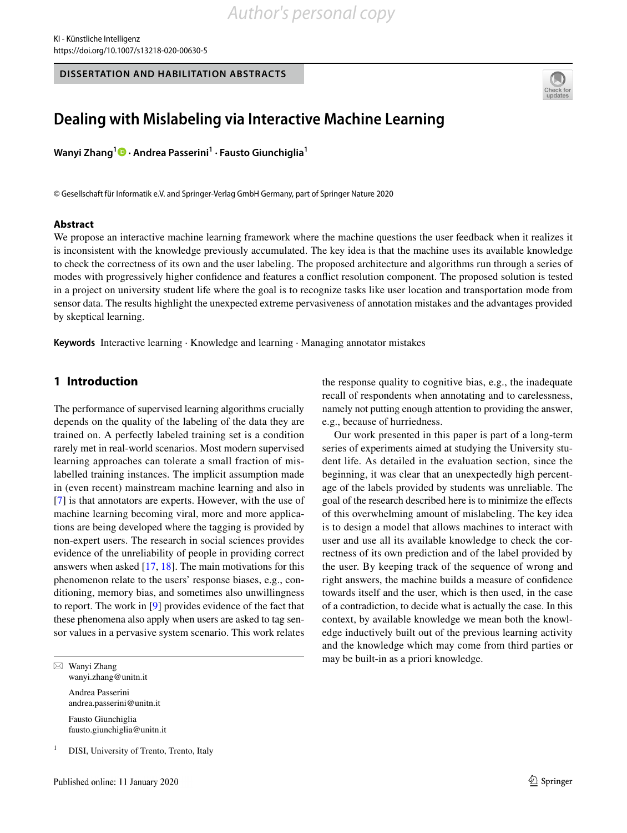**DISSERTATION AND HABILITATION ABSTRACTS**



### **Dealing with Mislabeling via Interactive Machine Learning**

**Wanyi Zhang1 · Andrea Passerini1 · Fausto Giunchiglia1**

© Gesellschaft für Informatik e.V. and Springer-Verlag GmbH Germany, part of Springer Nature 2020

#### **Abstract**

We propose an interactive machine learning framework where the machine questions the user feedback when it realizes it is inconsistent with the knowledge previously accumulated. The key idea is that the machine uses its available knowledge to check the correctness of its own and the user labeling. The proposed architecture and algorithms run through a series of modes with progressively higher confdence and features a confict resolution component. The proposed solution is tested in a project on university student life where the goal is to recognize tasks like user location and transportation mode from sensor data. The results highlight the unexpected extreme pervasiveness of annotation mistakes and the advantages provided by skeptical learning.

**Keywords** Interactive learning · Knowledge and learning · Managing annotator mistakes

#### **1 Introduction**

The performance of supervised learning algorithms crucially depends on the quality of the labeling of the data they are trained on. A perfectly labeled training set is a condition rarely met in real-world scenarios. Most modern supervised learning approaches can tolerate a small fraction of mislabelled training instances. The implicit assumption made in (even recent) mainstream machine learning and also in [\[7](#page-9-0)] is that annotators are experts. However, with the use of machine learning becoming viral, more and more applications are being developed where the tagging is provided by non-expert users. The research in social sciences provides evidence of the unreliability of people in providing correct answers when asked [[17](#page-9-1), [18\]](#page-9-2). The main motivations for this phenomenon relate to the users' response biases, e.g., conditioning, memory bias, and sometimes also unwillingness to report. The work in [\[9](#page-9-3)] provides evidence of the fact that these phenomena also apply when users are asked to tag sensor values in a pervasive system scenario. This work relates

wanyi.zhang@unitn.it Andrea Passerini andrea.passerini@unitn.it Fausto Giunchiglia fausto.giunchiglia@unitn.it

DISI, University of Trento, Trento, Italy

the response quality to cognitive bias, e.g., the inadequate recall of respondents when annotating and to carelessness, namely not putting enough attention to providing the answer, e.g., because of hurriedness.

Our work presented in this paper is part of a long-term series of experiments aimed at studying the University student life. As detailed in the evaluation section, since the beginning, it was clear that an unexpectedly high percentage of the labels provided by students was unreliable. The goal of the research described here is to minimize the efects of this overwhelming amount of mislabeling. The key idea is to design a model that allows machines to interact with user and use all its available knowledge to check the correctness of its own prediction and of the label provided by the user. By keeping track of the sequence of wrong and right answers, the machine builds a measure of confdence towards itself and the user, which is then used, in the case of a contradiction, to decide what is actually the case. In this context, by available knowledge we mean both the knowledge inductively built out of the previous learning activity and the knowledge which may come from third parties or  $\overline{\otimes}$  Wanyi Zhang  $\overline{\otimes}$  Wanyi Zhang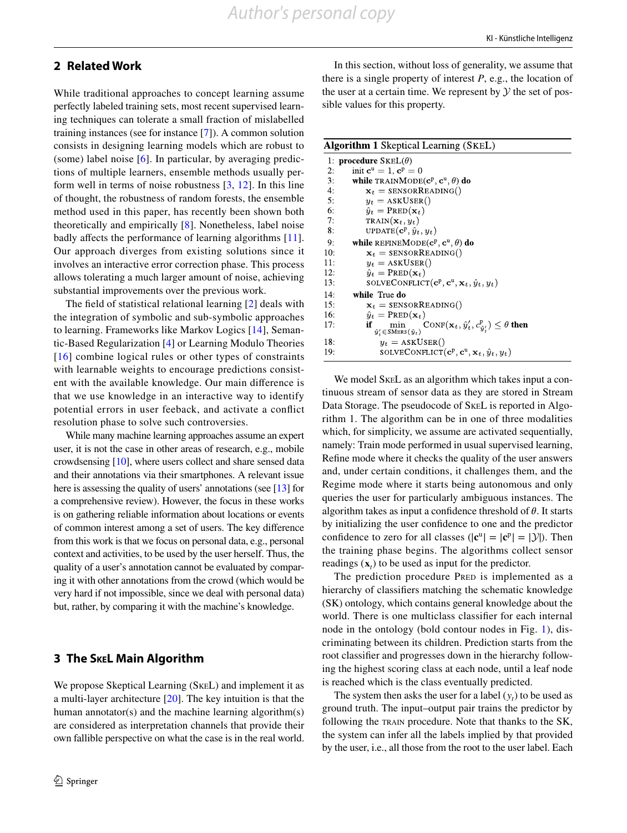#### **2 Related Work**

While traditional approaches to concept learning assume perfectly labeled training sets, most recent supervised learning techniques can tolerate a small fraction of mislabelled training instances (see for instance [[7\]](#page-9-0)). A common solution consists in designing learning models which are robust to (some) label noise [[6\]](#page-9-4). In particular, by averaging predictions of multiple learners, ensemble methods usually perform well in terms of noise robustness [\[3](#page-9-5), [12\]](#page-9-6). In this line of thought, the robustness of random forests, the ensemble method used in this paper, has recently been shown both theoretically and empirically [\[8\]](#page-9-7). Nonetheless, label noise badly affects the performance of learning algorithms [[11](#page-9-8)]. Our approach diverges from existing solutions since it involves an interactive error correction phase. This process allows tolerating a much larger amount of noise, achieving substantial improvements over the previous work.

The feld of statistical relational learning [[2](#page-9-9)] deals with the integration of symbolic and sub-symbolic approaches to learning. Frameworks like Markov Logics [\[14\]](#page-9-10), Semantic-Based Regularization [[4\]](#page-9-11) or Learning Modulo Theories [[16](#page-9-12)] combine logical rules or other types of constraints with learnable weights to encourage predictions consistent with the available knowledge. Our main diference is that we use knowledge in an interactive way to identify potential errors in user feeback, and activate a confict resolution phase to solve such controversies.

While many machine learning approaches assume an expert user, it is not the case in other areas of research, e.g., mobile crowdsensing [\[10\]](#page-9-13), where users collect and share sensed data and their annotations via their smartphones. A relevant issue here is assessing the quality of users' annotations (see [[13\]](#page-9-14) for a comprehensive review). However, the focus in these works is on gathering reliable information about locations or events of common interest among a set of users. The key diference from this work is that we focus on personal data, e.g., personal context and activities, to be used by the user herself. Thus, the quality of a user's annotation cannot be evaluated by comparing it with other annotations from the crowd (which would be very hard if not impossible, since we deal with personal data) but, rather, by comparing it with the machine's knowledge.

#### **3 The SkeL Main Algorithm**

We propose Skeptical Learning (SkeL) and implement it as a multi-layer architecture [[20\]](#page-9-15). The key intuition is that the human annotator(s) and the machine learning algorithm(s) are considered as interpretation channels that provide their own fallible perspective on what the case is in the real world.

In this section, without loss of generality, we assume that there is a single property of interest *P*, e.g., the location of the user at a certain time. We represent by  $\mathcal Y$  the set of possible values for this property.

| <b>Algorithm 1 Skeptical Learning (SKEL)</b> |                                                                                                                                                 |  |  |  |  |
|----------------------------------------------|-------------------------------------------------------------------------------------------------------------------------------------------------|--|--|--|--|
|                                              | 1: <b>procedure</b> $SKEL(\theta)$                                                                                                              |  |  |  |  |
| 2:                                           | init $\mathbf{c}^{\text{u}}=1$ , $\mathbf{c}^{\text{p}}=0$                                                                                      |  |  |  |  |
| 3:                                           | while TRAINMODE( $\mathbf{c}^{\text{p}}$ , $\mathbf{c}^{\text{u}}$ , $\theta$ ) do                                                              |  |  |  |  |
| 4:                                           | $\mathbf{x}_t =$ SENSORREADING()                                                                                                                |  |  |  |  |
| 5:                                           | $y_t = ASKUSER()$                                                                                                                               |  |  |  |  |
| 6:                                           | $\hat{y}_t = \text{PRED}(\mathbf{x}_t)$                                                                                                         |  |  |  |  |
| 7:                                           | $TRAN(\mathbf{x}_t, y_t)$                                                                                                                       |  |  |  |  |
| 8:                                           | UPDATE $(\mathbf{c}^p, \hat{y}_t, y_t)$                                                                                                         |  |  |  |  |
| 9:                                           | <b>while</b> REFINEMODE $(c^p, c^u, \theta)$ do                                                                                                 |  |  |  |  |
| 10:                                          | $\mathbf{x}_t =$ SENSORREADING()                                                                                                                |  |  |  |  |
| 11:                                          | $y_t = ASKUSER()$                                                                                                                               |  |  |  |  |
| 12:                                          | $\hat{y}_t = \text{PRED}(\mathbf{x}_t)$                                                                                                         |  |  |  |  |
| 13:                                          | SOLVECONFLICT( $\mathbf{c}^p, \mathbf{c}^u, \mathbf{x}_t, \hat{y}_t, y_t$ )                                                                     |  |  |  |  |
| 14:                                          | while True do                                                                                                                                   |  |  |  |  |
| 15:                                          | $\mathbf{x}_t =$ SENSORREADING()                                                                                                                |  |  |  |  |
| 16:                                          | $\hat{y}_t = \text{PRED}(\mathbf{x}_t)$                                                                                                         |  |  |  |  |
| 17:                                          | $\sum_{i}$ CONF $(\mathbf{x}_t, \hat{y}'_t, c^{\mathsf{p}}_{\hat{y}'_t}) \leq \theta$ then<br>if<br>min<br>$\hat{y}'_t \in$ SMERS $(\hat{y}_t)$ |  |  |  |  |
| 18:                                          | $y_t = ASKUSER()$                                                                                                                               |  |  |  |  |
| 19:                                          | SOLVECONFLICT( $\mathbf{c}^{\text{p}}, \mathbf{c}^{\text{u}}, \mathbf{x}_t, \hat{y}_t, y_t$ )                                                   |  |  |  |  |

We model SKEL as an algorithm which takes input a continuous stream of sensor data as they are stored in Stream Data Storage. The pseudocode of SkeL is reported in Algorithm 1. The algorithm can be in one of three modalities which, for simplicity, we assume are activated sequentially, namely: Train mode performed in usual supervised learning, Refne mode where it checks the quality of the user answers and, under certain conditions, it challenges them, and the Regime mode where it starts being autonomous and only queries the user for particularly ambiguous instances. The algorithm takes as input a confidence threshold of  $\theta$ . It starts by initializing the user confdence to one and the predictor confidence to zero for all classes  $(|{\bf c}^{\text{u}}| = |{\bf c}^{\text{p}}| = |{\cal Y}|$ ). Then the training phase begins. The algorithms collect sensor readings  $(\mathbf{x}_t)$  to be used as input for the predictor.

The prediction procedure PRED is implemented as a hierarchy of classifers matching the schematic knowledge (SK) ontology, which contains general knowledge about the world. There is one multiclass classifer for each internal node in the ontology (bold contour nodes in Fig. [1](#page-4-0)), discriminating between its children. Prediction starts from the root classifer and progresses down in the hierarchy following the highest scoring class at each node, until a leaf node is reached which is the class eventually predicted.

The system then asks the user for a label  $(y_t)$  to be used as ground truth. The input–output pair trains the predictor by following the TRAIN procedure. Note that thanks to the SK, the system can infer all the labels implied by that provided by the user, i.e., all those from the root to the user label. Each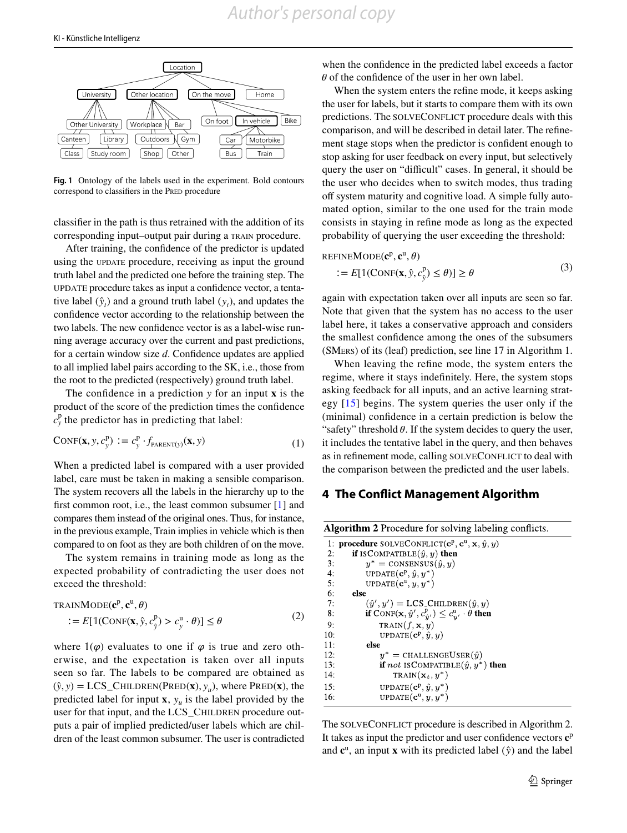

<span id="page-4-0"></span>**Fig. 1** Ontology of the labels used in the experiment. Bold contours correspond to classifiers in the PRED procedure

classifer in the path is thus retrained with the addition of its corresponding input–output pair during a TRAIN procedure.

After training, the confdence of the predictor is updated using the update procedure, receiving as input the ground truth label and the predicted one before the training step. The UPDATE procedure takes as input a confdence vector, a tentative label  $(\hat{y}_t)$  and a ground truth label  $(y_t)$ , and updates the confdence vector according to the relationship between the two labels. The new confdence vector is as a label-wise running average accuracy over the current and past predictions, for a certain window size *d*. Confdence updates are applied to all implied label pairs according to the SK, i.e., those from the root to the predicted (respectively) ground truth label.

The confidence in a prediction  $y$  for an input **x** is the product of the score of the prediction times the confdence  $c_y^{\text{p}}$  the predictor has in predicting that label:

$$
CONF(\mathbf{x}, y, c_y^p) := c_y^p \cdot f_{PARENT(y)}(\mathbf{x}, y)
$$
\n(1)

When a predicted label is compared with a user provided label, care must be taken in making a sensible comparison. The system recovers all the labels in the hierarchy up to the frst common root, i.e., the least common subsumer [[1\]](#page-9-16) and compares them instead of the original ones. Thus, for instance, in the previous example, Train implies in vehicle which is then compared to on foot as they are both children of on the move.

The system remains in training mode as long as the expected probability of contradicting the user does not exceed the threshold:

$$
\text{TRANMODE}(\mathbf{c}^{\mathbf{p}}, \mathbf{c}^{\mathbf{u}}, \theta) \\
\quad := E[\mathbb{1}(\text{CONF}(\mathbf{x}, \hat{y}, c_{\hat{y}}^{\mathbf{p}}) > c_{y}^{\mathbf{u}} \cdot \theta)] \le \theta \tag{2}
$$

where  $\mathbb{1}(\varphi)$  evaluates to one if  $\varphi$  is true and zero otherwise, and the expectation is taken over all inputs seen so far. The labels to be compared are obtained as  $(\hat{y}, y) = \text{LCS\_CHILDREN}(\text{PRED}(\mathbf{x}), y_u)$ , where  $\text{PRED}(\mathbf{x})$ , the predicted label for input  $\mathbf{x}$ ,  $y_u$  is the label provided by the user for that input, and the LCS\_CHILDREN procedure outputs a pair of implied predicted/user labels which are children of the least common subsumer. The user is contradicted when the confdence in the predicted label exceeds a factor  $\theta$  of the confidence of the user in her own label.

When the system enters the refne mode, it keeps asking the user for labels, but it starts to compare them with its own predictions. The SOLVECONFLICT procedure deals with this comparison, and will be described in detail later. The refnement stage stops when the predictor is confdent enough to stop asking for user feedback on every input, but selectively query the user on "difficult" cases. In general, it should be the user who decides when to switch modes, thus trading off system maturity and cognitive load. A simple fully automated option, similar to the one used for the train mode consists in staying in refne mode as long as the expected probability of querying the user exceeding the threshold:

REFINEMODE $(\mathbf{c}^p, \mathbf{c}^u, \theta)$ 

$$
:= E[\mathbb{1}(\text{CONF}(\mathbf{x}, \hat{y}, c^p_{\hat{y}}) \le \theta)] \ge \theta \tag{3}
$$

again with expectation taken over all inputs are seen so far. Note that given that the system has no access to the user label here, it takes a conservative approach and considers the smallest confdence among the ones of the subsumers (SMers) of its (leaf) prediction, see line 17 in Algorithm 1.

When leaving the refne mode, the system enters the regime, where it stays indefnitely. Here, the system stops asking feedback for all inputs, and an active learning strategy [[15](#page-9-17)] begins. The system queries the user only if the (minimal) confdence in a certain prediction is below the "safety" threshold  $\theta$ . If the system decides to query the user, it includes the tentative label in the query, and then behaves as in refnement mode, calling SOLVECONFLICT to deal with the comparison between the predicted and the user labels.

#### **4 The Confict Management Algorithm**

| <b>Algorithm 2</b> Procedure for solving labeling conflicts. |                                                                                                                         |  |  |  |
|--------------------------------------------------------------|-------------------------------------------------------------------------------------------------------------------------|--|--|--|
|                                                              | 1: <b>procedure</b> SOLVECONFLICT( $\mathbf{c}^{\text{p}}$ , $\mathbf{c}^{\text{u}}$ , $\mathbf{x}$ , $\hat{y}$ , $y$ ) |  |  |  |
| 2:                                                           | <b>if</b> ISCOMPATIBLE $(\hat{y}, y)$ then                                                                              |  |  |  |
| 3:                                                           | $y^* = \text{consensus}(\hat{y}, y)$                                                                                    |  |  |  |
| 4:                                                           | UPDATE $(\mathbf{c}^p, \hat{y}, y^*)$                                                                                   |  |  |  |
| 5:                                                           | UPDATE $(\mathbf{c}^{\mathrm{u}}, y, y^*)$                                                                              |  |  |  |
| 6:                                                           | else                                                                                                                    |  |  |  |
| 7:                                                           | $(\hat{y}', y') = \text{LCS\_CHILDREN}(\hat{y}, y)$                                                                     |  |  |  |
| 8:                                                           | <b>if</b> CONF( $\mathbf{x}, \hat{y}', c^{\mathsf{p}}_{\hat{u}'}) \leq c^{\mathsf{u}}_{u'} \cdot \theta$ then           |  |  |  |
| $\mathbf{Q}$                                                 | TRAIN $(f, \mathbf{x}, y)$                                                                                              |  |  |  |
| 10:                                                          | UPDATE $(\mathbf{c}^p, \hat{y}, y)$                                                                                     |  |  |  |
| 11:                                                          | else                                                                                                                    |  |  |  |
| 12:                                                          | $y^* =$ CHALLENGEUSER $(\hat{y})$                                                                                       |  |  |  |
| 13:                                                          | <b>if</b> not ISCOMPATIBLE $(\hat{y}, y^*)$ then                                                                        |  |  |  |
| 14:                                                          | $TRAN(\mathbf{x}_t, y^*)$                                                                                               |  |  |  |
| 15:                                                          | UPDATE $(\mathbf{c}^p, \hat{y}, y^*)$                                                                                   |  |  |  |
| 16:                                                          | UPDATE $(\mathbf{c}^{\mathrm{u}}, y, y^*)$                                                                              |  |  |  |

The SOLVECONFLICT procedure is described in Algorithm 2. It takes as input the predictor and user confidence vectors  $\mathbf{c}^{\mathrm{p}}$ and  $\mathbf{c}^{\mathrm{u}}$ , an input **x** with its predicted label ( $\hat{y}$ ) and the label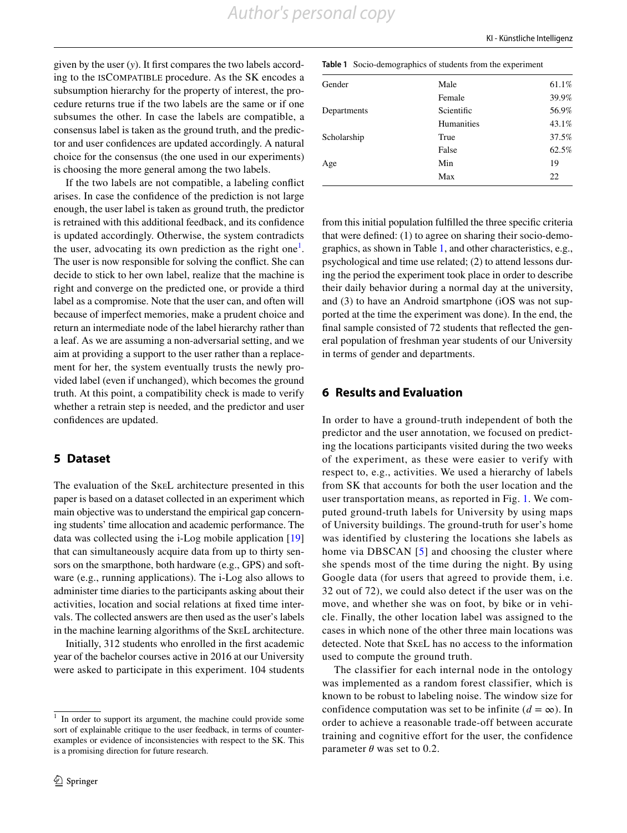given by the user (*y*). It frst compares the two labels according to the ISCOMPATIBLE procedure. As the SK encodes a subsumption hierarchy for the property of interest, the procedure returns true if the two labels are the same or if one subsumes the other. In case the labels are compatible, a consensus label is taken as the ground truth, and the predictor and user confdences are updated accordingly. A natural choice for the consensus (the one used in our experiments) is choosing the more general among the two labels.

If the two labels are not compatible, a labeling confict arises. In case the confdence of the prediction is not large enough, the user label is taken as ground truth, the predictor is retrained with this additional feedback, and its confdence is updated accordingly. Otherwise, the system contradicts the user, advocating its own prediction as the right one<sup>[1](#page-5-0)</sup>. The user is now responsible for solving the confict. She can decide to stick to her own label, realize that the machine is right and converge on the predicted one, or provide a third label as a compromise. Note that the user can, and often will because of imperfect memories, make a prudent choice and return an intermediate node of the label hierarchy rather than a leaf. As we are assuming a non-adversarial setting, and we aim at providing a support to the user rather than a replacement for her, the system eventually trusts the newly provided label (even if unchanged), which becomes the ground truth. At this point, a compatibility check is made to verify whether a retrain step is needed, and the predictor and user confdences are updated.

#### **5 Dataset**

The evaluation of the SkeL architecture presented in this paper is based on a dataset collected in an experiment which main objective was to understand the empirical gap concerning students' time allocation and academic performance. The data was collected using the i-Log mobile application [[19\]](#page-9-18) that can simultaneously acquire data from up to thirty sensors on the smarpthone, both hardware (e.g., GPS) and software (e.g., running applications). The i-Log also allows to administer time diaries to the participants asking about their activities, location and social relations at fxed time intervals. The collected answers are then used as the user's labels in the machine learning algorithms of the SkeL architecture.

Initially, 312 students who enrolled in the frst academic year of the bachelor courses active in 2016 at our University were asked to participate in this experiment. 104 students

<span id="page-5-1"></span>

| Gender      | Male       | 61.1% |
|-------------|------------|-------|
|             | Female     | 39.9% |
| Departments | Scientific | 56.9% |
|             | Humanities | 43.1% |
| Scholarship | True       | 37.5% |
|             | False      | 62.5% |
| Age         | Min        | 19    |
|             | Max        | 22    |
|             |            |       |

from this initial population fulflled the three specifc criteria that were defned: (1) to agree on sharing their socio-demographics, as shown in Table [1](#page-5-1), and other characteristics, e.g., psychological and time use related; (2) to attend lessons during the period the experiment took place in order to describe their daily behavior during a normal day at the university, and (3) to have an Android smartphone (iOS was not supported at the time the experiment was done). In the end, the fnal sample consisted of 72 students that refected the general population of freshman year students of our University in terms of gender and departments.

#### **6 Results and Evaluation**

In order to have a ground-truth independent of both the predictor and the user annotation, we focused on predicting the locations participants visited during the two weeks of the experiment, as these were easier to verify with respect to, e.g., activities. We used a hierarchy of labels from SK that accounts for both the user location and the user transportation means, as reported in Fig. [1.](#page-4-0) We computed ground-truth labels for University by using maps of University buildings. The ground-truth for user's home was identified by clustering the locations she labels as home via DBSCAN [[5](#page-9-19)] and choosing the cluster where she spends most of the time during the night. By using Google data (for users that agreed to provide them, i.e. 32 out of 72), we could also detect if the user was on the move, and whether she was on foot, by bike or in vehicle. Finally, the other location label was assigned to the cases in which none of the other three main locations was detected. Note that SkeL has no access to the information used to compute the ground truth.

The classifier for each internal node in the ontology was implemented as a random forest classifier, which is known to be robust to labeling noise. The window size for confidence computation was set to be infinite  $(d = \infty)$ . In order to achieve a reasonable trade-off between accurate training and cognitive effort for the user, the confidence parameter  $\theta$  was set to 0.2.

<span id="page-5-0"></span> $1$  In order to support its argument, the machine could provide some sort of explainable critique to the user feedback, in terms of counterexamples or evidence of inconsistencies with respect to the SK. This is a promising direction for future research.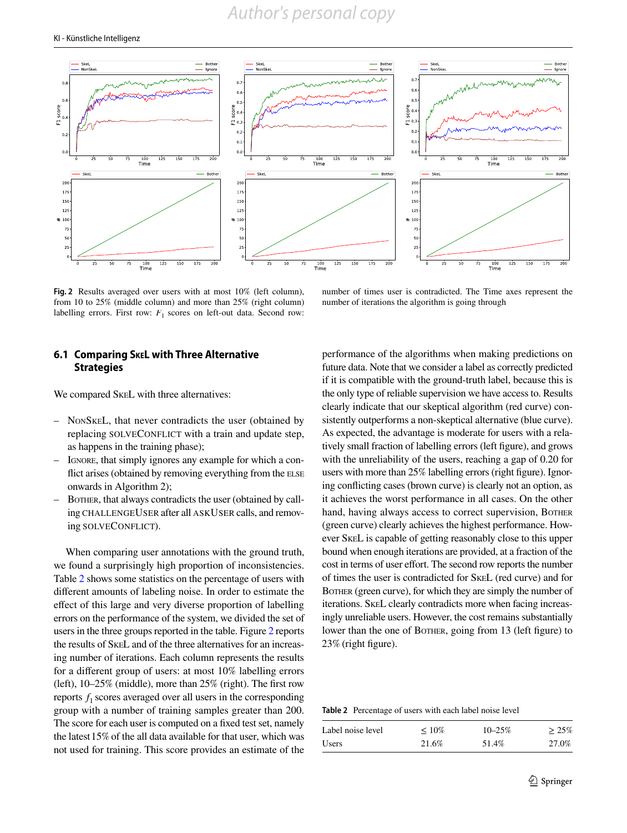

<span id="page-6-1"></span>**Fig. 2** Results averaged over users with at most 10% (left column), from 10 to 25% (middle column) and more than 25% (right column) labelling errors. First row:  $F_1$  scores on left-out data. Second row:

number of times user is contradicted. The Time axes represent the number of iterations the algorithm is going through

#### **6.1 Comparing SkeL with Three Alternative Strategies**

We compared SkeL with three alternatives:

- NonSkeL, that never contradicts the user (obtained by replacing SOLVECONFLICT with a train and update step, as happens in the training phase);
- Ignore, that simply ignores any example for which a conflict arises (obtained by removing everything from the ELSE onwards in Algorithm 2);
- BOTHER, that always contradicts the user (obtained by calling CHALLENGEUSER after all ASKUSER calls, and removing SOLVECONFLICT).

When comparing user annotations with the ground truth, we found a surprisingly high proportion of inconsistencies. Table [2](#page-6-0) shows some statistics on the percentage of users with diferent amounts of labeling noise. In order to estimate the efect of this large and very diverse proportion of labelling errors on the performance of the system, we divided the set of users in the three groups reported in the table. Figure [2](#page-6-1) reports the results of SkeL and of the three alternatives for an increasing number of iterations. Each column represents the results for a diferent group of users: at most 10% labelling errors (left), 10–25% (middle), more than 25% (right). The frst row reports  $f_1$  scores averaged over all users in the corresponding group with a number of training samples greater than 200. The score for each user is computed on a fxed test set, namely the latest 15% of the all data available for that user, which was not used for training. This score provides an estimate of the

performance of the algorithms when making predictions on future data. Note that we consider a label as correctly predicted if it is compatible with the ground-truth label, because this is the only type of reliable supervision we have access to. Results clearly indicate that our skeptical algorithm (red curve) consistently outperforms a non-skeptical alternative (blue curve). As expected, the advantage is moderate for users with a relatively small fraction of labelling errors (left fgure), and grows with the unreliability of the users, reaching a gap of 0.20 for users with more than 25% labelling errors (right fgure). Ignoring conficting cases (brown curve) is clearly not an option, as it achieves the worst performance in all cases. On the other hand, having always access to correct supervision, BOTHER (green curve) clearly achieves the highest performance. However SkeL is capable of getting reasonably close to this upper bound when enough iterations are provided, at a fraction of the cost in terms of user effort. The second row reports the number of times the user is contradicted for SkeL (red curve) and for BOTHER (green curve), for which they are simply the number of iterations. SkeL clearly contradicts more when facing increasingly unreliable users. However, the cost remains substantially lower than the one of BorHER, going from 13 (left figure) to 23% (right fgure).

<span id="page-6-0"></span>**Table 2** Percentage of users with each label noise level

| Label noise level | $~10\%$ | $10 - 25\%$ | $> 25\%$ |
|-------------------|---------|-------------|----------|
| <b>Users</b>      | 21.6%   | 51.4%       | 27.0%    |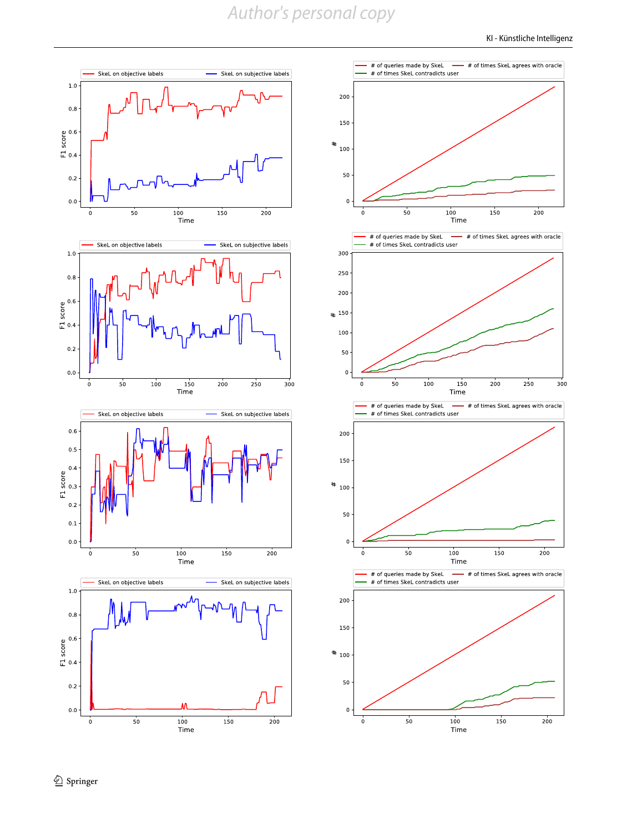## *Author's personal copy*



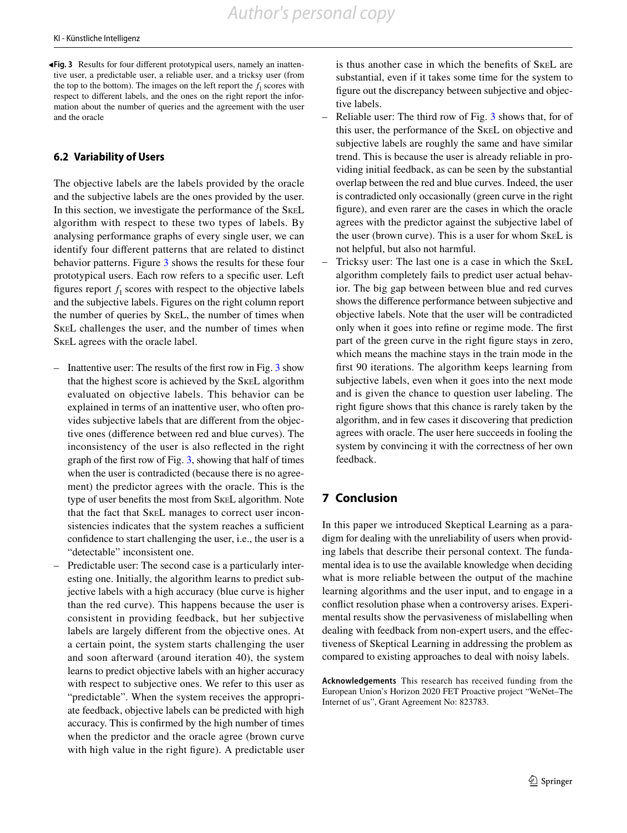<span id="page-8-0"></span>**Fig. 3** Results for four diferent prototypical users, namely an inatten-◂ tive user, a predictable user, a reliable user, and a tricksy user (from the top to the bottom). The images on the left report the  $f_1$  scores with respect to diferent labels, and the ones on the right report the information about the number of queries and the agreement with the user and the oracle

#### **6.2 Variability of Users**

The objective labels are the labels provided by the oracle and the subjective labels are the ones provided by the user. In this section, we investigate the performance of the SkeL algorithm with respect to these two types of labels. By analysing performance graphs of every single user, we can identify four diferent patterns that are related to distinct behavior patterns. Figure [3](#page-8-0) shows the results for these four prototypical users. Each row refers to a specifc user. Left figures report  $f_1$  scores with respect to the objective labels and the subjective labels. Figures on the right column report the number of queries by SkeL, the number of times when SkeL challenges the user, and the number of times when SkeL agrees with the oracle label.

- Inattentive user: The results of the first row in Fig.  $3 \text{ show}$ that the highest score is achieved by the SkeL algorithm evaluated on objective labels. This behavior can be explained in terms of an inattentive user, who often provides subjective labels that are diferent from the objective ones (diference between red and blue curves). The inconsistency of the user is also refected in the right graph of the frst row of Fig. [3](#page-8-0), showing that half of times when the user is contradicted (because there is no agreement) the predictor agrees with the oracle. This is the type of user benefts the most from SkeL algorithm. Note that the fact that SkeL manages to correct user inconsistencies indicates that the system reaches a sufficient confdence to start challenging the user, i.e., the user is a "detectable" inconsistent one.
- Predictable user: The second case is a particularly interesting one. Initially, the algorithm learns to predict subjective labels with a high accuracy (blue curve is higher than the red curve). This happens because the user is consistent in providing feedback, but her subjective labels are largely diferent from the objective ones. At a certain point, the system starts challenging the user and soon afterward (around iteration 40), the system learns to predict objective labels with an higher accuracy with respect to subjective ones. We refer to this user as "predictable". When the system receives the appropriate feedback, objective labels can be predicted with high accuracy. This is confrmed by the high number of times when the predictor and the oracle agree (brown curve with high value in the right figure). A predictable user

is thus another case in which the benefts of SkeL are substantial, even if it takes some time for the system to fgure out the discrepancy between subjective and objective labels.

- Reliable user: The third row of Fig. [3](#page-8-0) shows that, for of this user, the performance of the SkeL on objective and subjective labels are roughly the same and have similar trend. This is because the user is already reliable in providing initial feedback, as can be seen by the substantial overlap between the red and blue curves. Indeed, the user is contradicted only occasionally (green curve in the right fgure), and even rarer are the cases in which the oracle agrees with the predictor against the subjective label of the user (brown curve). This is a user for whom SkeL is not helpful, but also not harmful.
- Tricksy user: The last one is a case in which the SkeL algorithm completely fails to predict user actual behavior. The big gap between between blue and red curves shows the diference performance between subjective and objective labels. Note that the user will be contradicted only when it goes into refne or regime mode. The frst part of the green curve in the right fgure stays in zero, which means the machine stays in the train mode in the frst 90 iterations. The algorithm keeps learning from subjective labels, even when it goes into the next mode and is given the chance to question user labeling. The right fgure shows that this chance is rarely taken by the algorithm, and in few cases it discovering that prediction agrees with oracle. The user here succeeds in fooling the system by convincing it with the correctness of her own feedback.

#### **7 Conclusion**

In this paper we introduced Skeptical Learning as a paradigm for dealing with the unreliability of users when providing labels that describe their personal context. The fundamental idea is to use the available knowledge when deciding what is more reliable between the output of the machine learning algorithms and the user input, and to engage in a confict resolution phase when a controversy arises. Experimental results show the pervasiveness of mislabelling when dealing with feedback from non-expert users, and the efectiveness of Skeptical Learning in addressing the problem as compared to existing approaches to deal with noisy labels.

**Acknowledgements** This research has received funding from the European Union's Horizon 2020 FET Proactive project "WeNet–The Internet of us", Grant Agreement No: 823783.